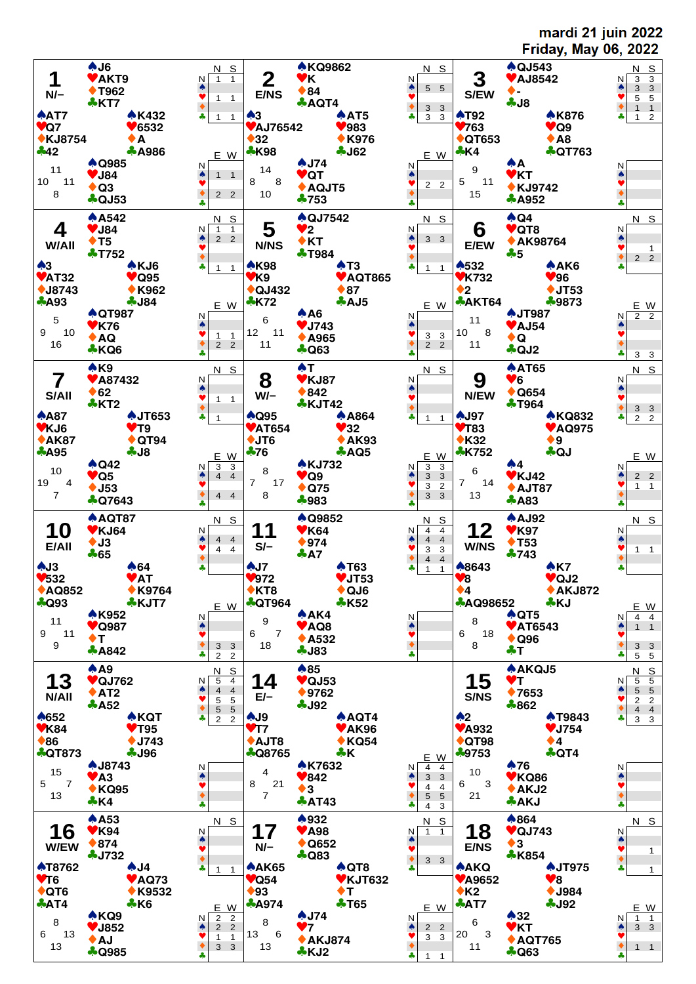mardi 21 juin 2022 **Friday, May 06, 2022**